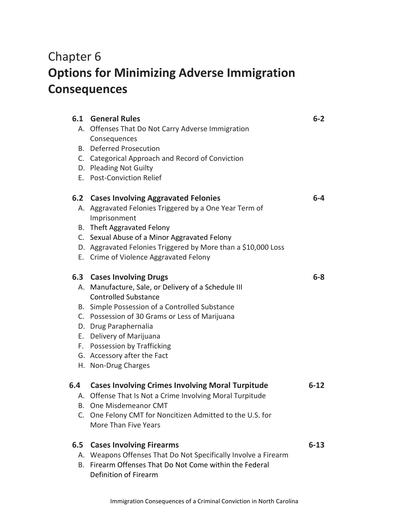## Chapter 6 **Options for Minimizing Adverse Immigration Consequences**

|     | <b>6.1 General Rules</b>                                                      | $6 - 2$  |
|-----|-------------------------------------------------------------------------------|----------|
|     | A. Offenses That Do Not Carry Adverse Immigration<br>Consequences             |          |
|     | <b>B.</b> Deferred Prosecution                                                |          |
|     | C. Categorical Approach and Record of Conviction                              |          |
|     | D. Pleading Not Guilty                                                        |          |
|     | E. Post-Conviction Relief                                                     |          |
|     | 6.2 Cases Involving Aggravated Felonies                                       | 6-4      |
|     | A. Aggravated Felonies Triggered by a One Year Term of<br>Imprisonment        |          |
|     | B. Theft Aggravated Felony                                                    |          |
|     | C. Sexual Abuse of a Minor Aggravated Felony                                  |          |
|     | D. Aggravated Felonies Triggered by More than a \$10,000 Loss                 |          |
|     | E. Crime of Violence Aggravated Felony                                        |          |
|     | 6.3 Cases Involving Drugs                                                     | $6 - 8$  |
|     | A. Manufacture, Sale, or Delivery of a Schedule III                           |          |
|     | <b>Controlled Substance</b>                                                   |          |
|     | B. Simple Possession of a Controlled Substance                                |          |
|     | C. Possession of 30 Grams or Less of Marijuana                                |          |
|     | D. Drug Paraphernalia                                                         |          |
|     | E. Delivery of Marijuana                                                      |          |
|     | F. Possession by Trafficking                                                  |          |
|     | G. Accessory after the Fact                                                   |          |
|     | H. Non-Drug Charges                                                           |          |
| 6.4 | <b>Cases Involving Crimes Involving Moral Turpitude</b>                       | $6 - 12$ |
|     | A. Offense That Is Not a Crime Involving Moral Turpitude                      |          |
|     | B. One Misdemeanor CMT                                                        |          |
|     | C. One Felony CMT for Noncitizen Admitted to the U.S. for                     |          |
|     | More Than Five Years                                                          |          |
| 6.5 | <b>Cases Involving Firearms</b>                                               | $6 - 13$ |
| А.  | Weapons Offenses That Do Not Specifically Involve a Firearm                   |          |
| В.  | Firearm Offenses That Do Not Come within the Federal<br>Definition of Firearm |          |